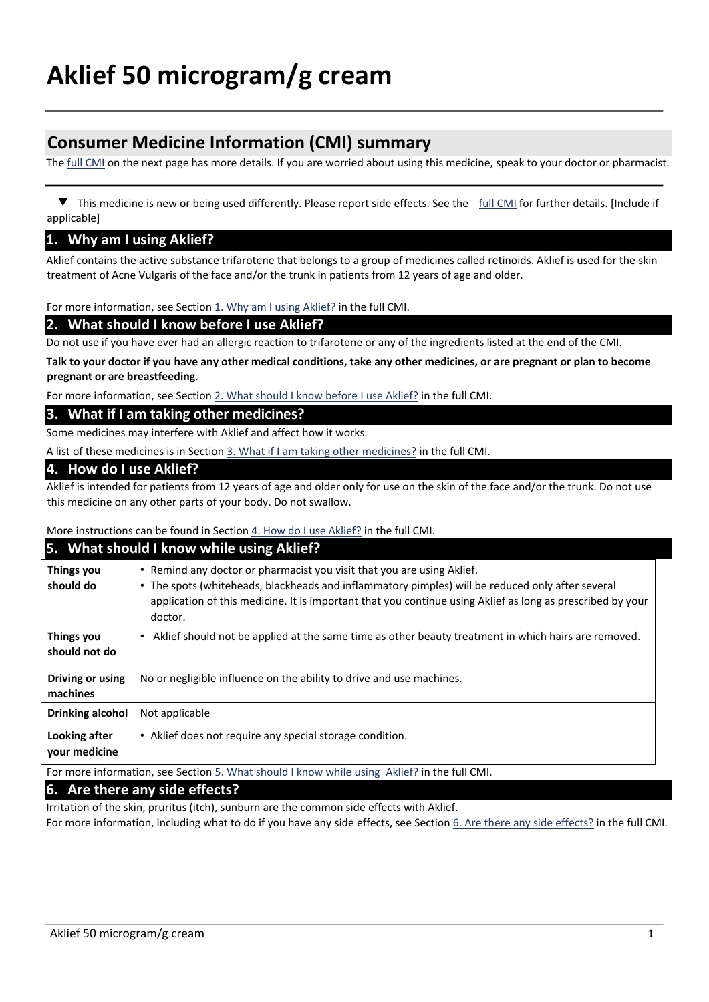# **Consumer Medicine Information (CMI) summary**

The full CMI on the next page has more details. If you are worried about using this medicine, speak to your doctor or pharmacist.

 ▼ This medicine is new or being used differently. Please report side effects. See the full CMI for further details. [Include if applicable]

#### **1. Why am I using Aklief?**

Aklief contains the active substance trifarotene that belongs to a group of medicines called retinoids. Aklief is used for the skin treatment of Acne Vulgaris of the face and/or the trunk in patients from 12 years of age and older.

For more information, see Section 1. Why am I using Aklief? in the full CMI.

#### **2. What should I know before I use Aklief?**

Do not use if you have ever had an allergic reaction to trifarotene or any of the ingredients listed at the end of the CMI.

**Talk to your doctor if you have any other medical conditions, take any other medicines, or are pregnant or plan to become pregnant or are breastfeeding**.

For more information, see Section 2. What should I know before I use Aklief? in the full CMI.

#### **3. What if I am taking other medicines?**

Some medicines may interfere with Aklief and affect how it works.

A list of these medicines is in Section 3. What if I am taking other medicines? in the full CMI.

#### **4. How do I use Aklief?**

Aklief is intended for patients from 12 years of age and older only for use on the skin of the face and/or the trunk. Do not use this medicine on any other parts of your body. Do not swallow.

More instructions can be found in Section 4. How do I use Aklief? in the full CMI.

#### **5. What should I know while using Aklief?**

| <b>Things you</b><br>should do                                                               | Remind any doctor or pharmacist you visit that you are using Aklief.<br>$\bullet$<br>• The spots (whiteheads, blackheads and inflammatory pimples) will be reduced only after several<br>application of this medicine. It is important that you continue using Aklief as long as prescribed by your<br>doctor. |  |
|----------------------------------------------------------------------------------------------|----------------------------------------------------------------------------------------------------------------------------------------------------------------------------------------------------------------------------------------------------------------------------------------------------------------|--|
| <b>Things you</b><br>should not do                                                           | Aklief should not be applied at the same time as other beauty treatment in which hairs are removed.<br>٠                                                                                                                                                                                                       |  |
| Driving or using<br>machines                                                                 | No or negligible influence on the ability to drive and use machines.                                                                                                                                                                                                                                           |  |
| <b>Drinking alcohol</b>                                                                      | Not applicable                                                                                                                                                                                                                                                                                                 |  |
| Looking after<br>your medicine                                                               | Aklief does not require any special storage condition.<br>$\bullet$                                                                                                                                                                                                                                            |  |
| For more information, see Section 5. What should I know while using Aklief? in the full CMI. |                                                                                                                                                                                                                                                                                                                |  |

#### **6. Are there any side effects?**

Irritation of the skin, pruritus (itch), sunburn are the common side effects with Aklief.

For more information, including what to do if you have any side effects, see Section 6. Are there any side effects? in the full CMI.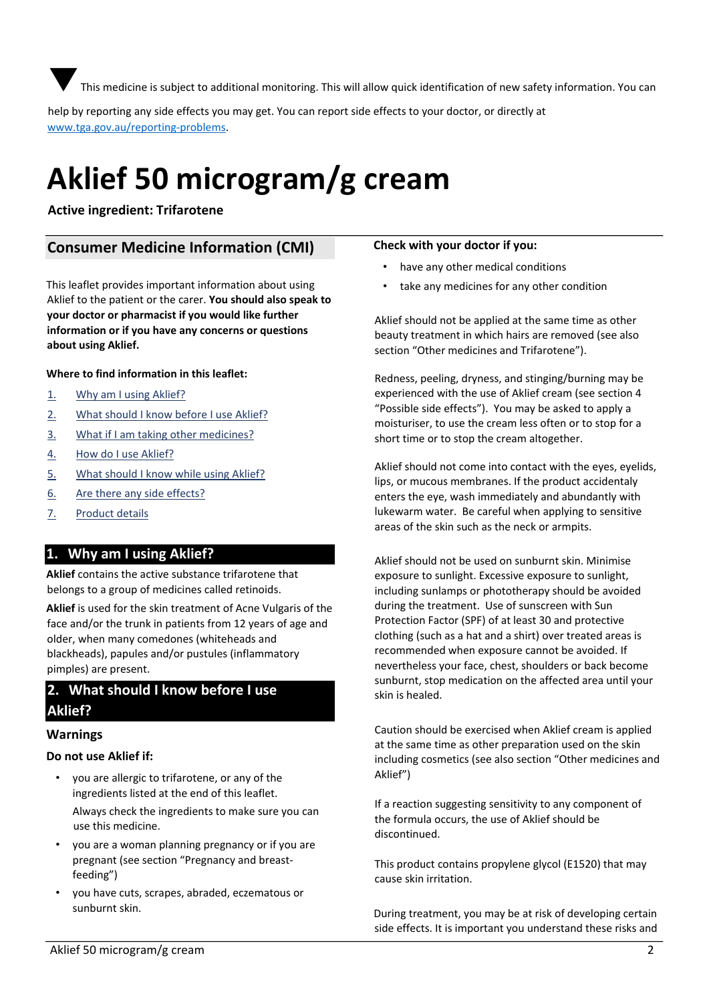This medicine is subiect to additional monitoring. This will allow quick identification of new safety information. You can

help by reporting any side effects you may get. You can report side effects to your doctor, or directly at [www.tga.gov.au/reporting‐problems](http://www.tga.gov.au/reporting‐problems).

# **Aklief 50 microgram/g cream**

## **Active ingredient: Trifarotene**

## **Consumer Medicine Information (CMI)**

This leaflet provides important information about using Aklief to the patient or the carer. **You should also speak to your doctor or pharmacist if you would like further information or if you have any concerns or questions about using Aklief.** 

#### **Where to find information in this leaflet:**

- 1. Why am I using Aklief?
- 2. What should I know before I use Aklief?
- 3. What if I am taking other medicines?
- 4. How do I use Aklief?
- 5. What should I know while using Aklief?
- 6. Are there any side effects?
- 7. Product details

## **1. Why am I using Aklief?**

**Aklief** contains the active substance trifarotene that belongs to a group of medicines called retinoids.

**Aklief** is used for the skin treatment of Acne Vulgaris of the face and/or the trunk in patients from 12 years of age and older, when many comedones (whiteheads and blackheads), papules and/or pustules (inflammatory pimples) are present.

## **2. What should I know before I use Aklief?**

#### **Warnings**

#### **Do not use Aklief if:**

• you are allergic to trifarotene, or any of the ingredients listed at the end of this leaflet.

Always check the ingredients to make sure you can use this medicine.

- you are a woman planning pregnancy or if you are pregnant (see section "Pregnancy and breastfeeding")
- you have cuts, scrapes, abraded, eczematous or sunburnt skin.

#### **Check with your doctor if you:**

- have any other medical conditions
- take any medicines for any other condition

Aklief should not be applied at the same time as other beauty treatment in which hairs are removed (see also section "Other medicines and Trifarotene").

Redness, peeling, dryness, and stinging/burning may be experienced with the use of Aklief cream (see section 4 "Possible side effects"). You may be asked to apply a moisturiser, to use the cream less often or to stop for a short time or to stop the cream altogether.

Aklief should not come into contact with the eyes, eyelids, lips, or mucous membranes. If the product accidentaly enters the eye, wash immediately and abundantly with lukewarm water. Be careful when applying to sensitive areas of the skin such as the neck or armpits.

Aklief should not be used on sunburnt skin. Minimise exposure to sunlight. Excessive exposure to sunlight, including sunlamps or phototherapy should be avoided during the treatment. Use of sunscreen with Sun Protection Factor (SPF) of at least 30 and protective clothing (such as a hat and a shirt) over treated areas is recommended when exposure cannot be avoided. If nevertheless your face, chest, shoulders or back become sunburnt, stop medication on the affected area until your skin is healed.

Caution should be exercised when Aklief cream is applied at the same time as other preparation used on the skin including cosmetics (see also section "Other medicines and Aklief")

If a reaction suggesting sensitivity to any component of the formula occurs, the use of Aklief should be discontinued.

This product contains propylene glycol (E1520) that may cause skin irritation.

During treatment, you may be at risk of developing certain side effects. It is important you understand these risks and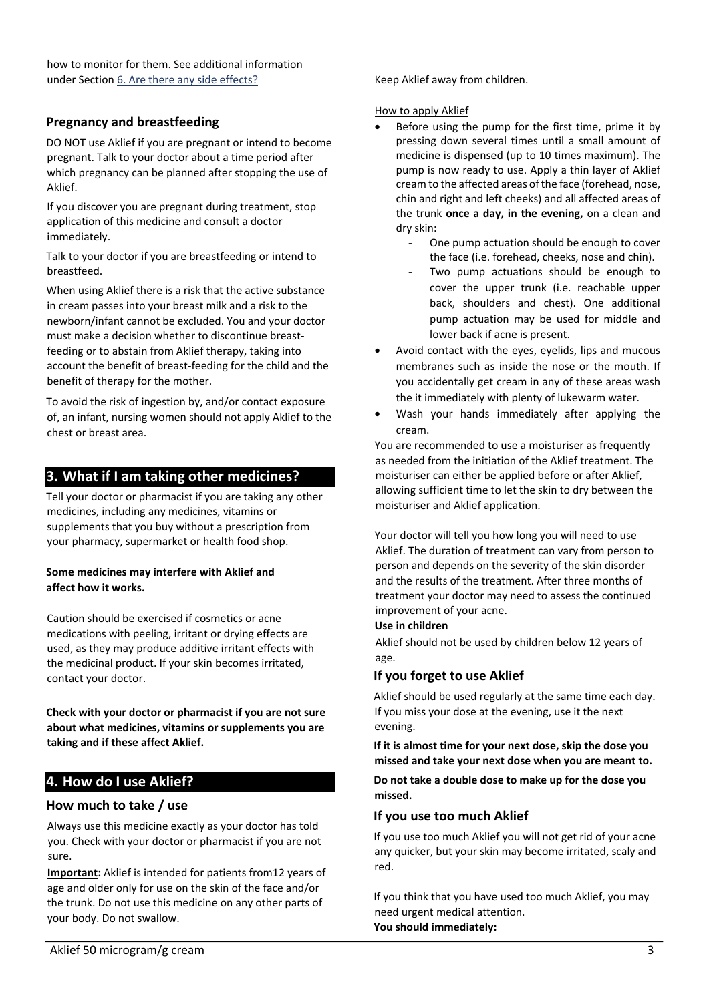how to monitor for them. See additional information under Section 6. Are there any side effects?

## **Pregnancy and breastfeeding**

DO NOT use Aklief if you are pregnant or intend to become pregnant. Talk to your doctor about a time period after which pregnancy can be planned after stopping the use of Aklief.

If you discover you are pregnant during treatment, stop application of this medicine and consult a doctor immediately.

Talk to your doctor if you are breastfeeding or intend to breastfeed.

When using Aklief there is a risk that the active substance in cream passes into your breast milk and a risk to the newborn/infant cannot be excluded. You and your doctor must make a decision whether to discontinue breastfeeding or to abstain from Aklief therapy, taking into account the benefit of breast-feeding for the child and the benefit of therapy for the mother.

To avoid the risk of ingestion by, and/or contact exposure of, an infant, nursing women should not apply Aklief to the chest or breast area.

## **3. What if I am taking other medicines?**

Tell your doctor or pharmacist if you are taking any other medicines, including any medicines, vitamins or supplements that you buy without a prescription from your pharmacy, supermarket or health food shop.

#### **Some medicines may interfere with Aklief and affect how it works.**

Caution should be exercised if cosmetics or acne medications with peeling, irritant or drying effects are used, as they may produce additive irritant effects with the medicinal product. If your skin becomes irritated, contact your doctor.

**Check with your doctor or pharmacist if you are not sure about what medicines, vitamins or supplements you are taking and if these affect Aklief.**

## **4. How do I use Aklief?**

#### **How much to take / use**

Always use this medicine exactly as your doctor has told you. Check with your doctor or pharmacist if you are not sure.

**Important:** Aklief is intended for patients from12 years of age and older only for use on the skin of the face and/or the trunk. Do not use this medicine on any other parts of your body. Do not swallow.

Keep Aklief away from children.

#### How to apply Aklief

- Before using the pump for the first time, prime it by pressing down several times until a small amount of medicine is dispensed (up to 10 times maximum). The pump is now ready to use. Apply a thin layer of Aklief cream to the affected areas of the face (forehead, nose, chin and right and left cheeks) and all affected areas of the trunk **once a day, in the evening,** on a clean and dry skin:
	- One pump actuation should be enough to cover the face (i.e. forehead, cheeks, nose and chin).
	- Two pump actuations should be enough to cover the upper trunk (i.e. reachable upper back, shoulders and chest). One additional pump actuation may be used for middle and lower back if acne is present.
- Avoid contact with the eyes, eyelids, lips and mucous membranes such as inside the nose or the mouth. If you accidentally get cream in any of these areas wash the it immediately with plenty of lukewarm water.
- Wash your hands immediately after applying the cream.

You are recommended to use a moisturiser as frequently as needed from the initiation of the Aklief treatment. The moisturiser can either be applied before or after Aklief, allowing sufficient time to let the skin to dry between the moisturiser and Aklief application.

Your doctor will tell you how long you will need to use Aklief. The duration of treatment can vary from person to person and depends on the severity of the skin disorder and the results of the treatment. After three months of treatment your doctor may need to assess the continued improvement of your acne.

#### **Use in children**

Aklief should not be used by children below 12 years of age.

## **If you forget to use Aklief**

Aklief should be used regularly at the same time each day. If you miss your dose at the evening, use it the next evening.

**If it is almost time for your next dose, skip the dose you missed and take your next dose when you are meant to.**

**Do not take a double dose to make up for the dose you missed.** 

#### **If you use too much Aklief**

If you use too much Aklief you will not get rid of your acne any quicker, but your skin may become irritated, scaly and red.

If you think that you have used too much Aklief, you may need urgent medical attention. **You should immediately:**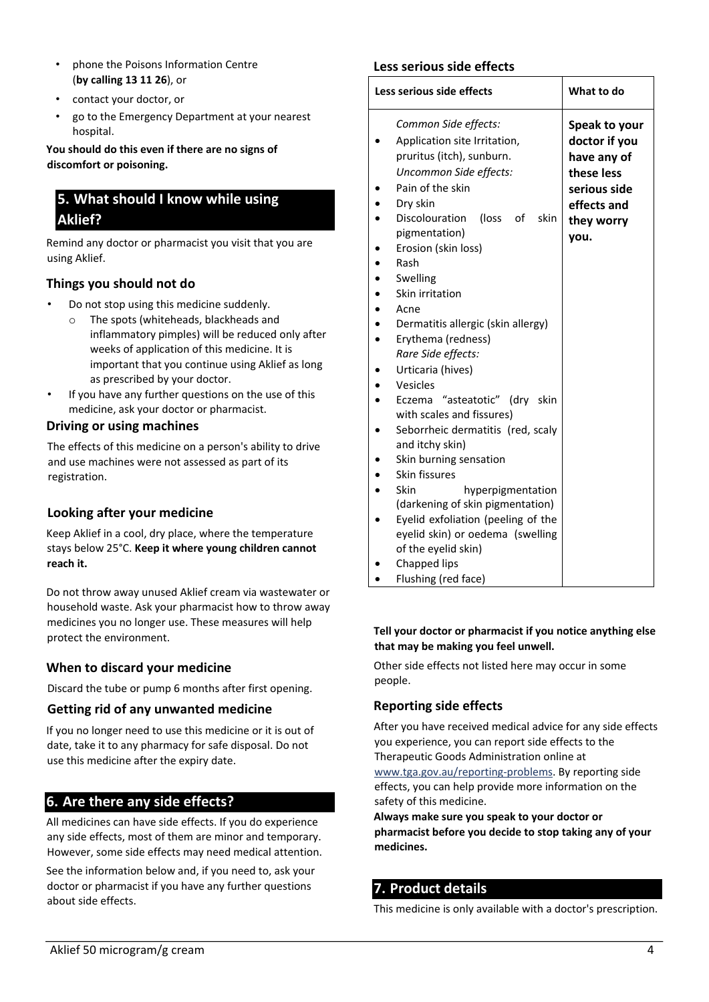- phone the Poisons Information Centre (**by calling 13 11 26**), or
- contact your doctor, or
- go to the Emergency Department at your nearest hospital.

**You should do this even if there are no signs of discomfort or poisoning.** 

## **5. What should I know while using Aklief?**

Remind any doctor or pharmacist you visit that you are using Aklief.

## **Things you should not do**

- Do not stop using this medicine suddenly.
	- o The spots (whiteheads, blackheads and inflammatory pimples) will be reduced only after weeks of application of this medicine. It is important that you continue using Aklief as long as prescribed by your doctor.
- If you have any further questions on the use of this medicine, ask your doctor or pharmacist.

#### **Driving or using machines**

The effects of this medicine on a person's ability to drive and use machines were not assessed as part of its registration.

## **Looking after your medicine**

Keep Aklief in a cool, dry place, where the temperature stays below 25°C. **Keep it where young children cannot reach it.**

Do not throw away unused Aklief cream via wastewater or household waste. Ask your pharmacist how to throw away medicines you no longer use. These measures will help protect the environment.

## **When to discard your medicine**

Discard the tube or pump 6 months after first opening.

#### **Getting rid of any unwanted medicine**

If you no longer need to use this medicine or it is out of date, take it to any pharmacy for safe disposal. Do not use this medicine after the expiry date.

## **6. Are there any side effects?**

All medicines can have side effects. If you do experience any side effects, most of them are minor and temporary. However, some side effects may need medical attention.

See the information below and, if you need to, ask your doctor or pharmacist if you have any further questions about side effects.

## **Less serious side effects**

| Less serious side effects                                                                                                                                                                                                                                                   | What to do                                                                                                       |
|-----------------------------------------------------------------------------------------------------------------------------------------------------------------------------------------------------------------------------------------------------------------------------|------------------------------------------------------------------------------------------------------------------|
| Common Side effects:<br>Application site Irritation,<br>pruritus (itch), sunburn.<br>Uncommon Side effects:<br>Pain of the skin<br>Dry skin<br>Discolouration<br>(loss<br>of<br>skin<br>pigmentation)<br>Erosion (skin loss)<br>Rash<br>Swelling<br>Skin irritation<br>Acne | Speak to your<br>doctor if you<br>have any of<br>these less<br>serious side<br>effects and<br>they worry<br>you. |
| Dermatitis allergic (skin allergy)<br>Erythema (redness)<br>Rare Side effects:                                                                                                                                                                                              |                                                                                                                  |
| Urticaria (hives)<br>Vesicles<br>Eczema "asteatotic" (dry skin<br>with scales and fissures)<br>Seborrheic dermatitis (red, scaly<br>and itchy skin)<br>Skin burning sensation<br>Skin fissures                                                                              |                                                                                                                  |
| Skin<br>hyperpigmentation<br>(darkening of skin pigmentation)<br>Eyelid exfoliation (peeling of the<br>eyelid skin) or oedema (swelling<br>of the eyelid skin)<br>Chapped lips<br>Flushing (red face)                                                                       |                                                                                                                  |

#### **Tell your doctor or pharmacist if you notice anything else that may be making you feel unwell.**

Other side effects not listed here may occur in some people.

## **Reporting side effects**

After you have received medical advice for any side effects you experience, you can report side effects to the Therapeutic Goods Administration online at www.tga.gov.au/reporting‐problems. By reporting side effects, you can help provide more information on the safety of this medicine.

**Always make sure you speak to your doctor or pharmacist before you decide to stop taking any of your medicines.** 

## **7. Product details**

This medicine is only available with a doctor's prescription.